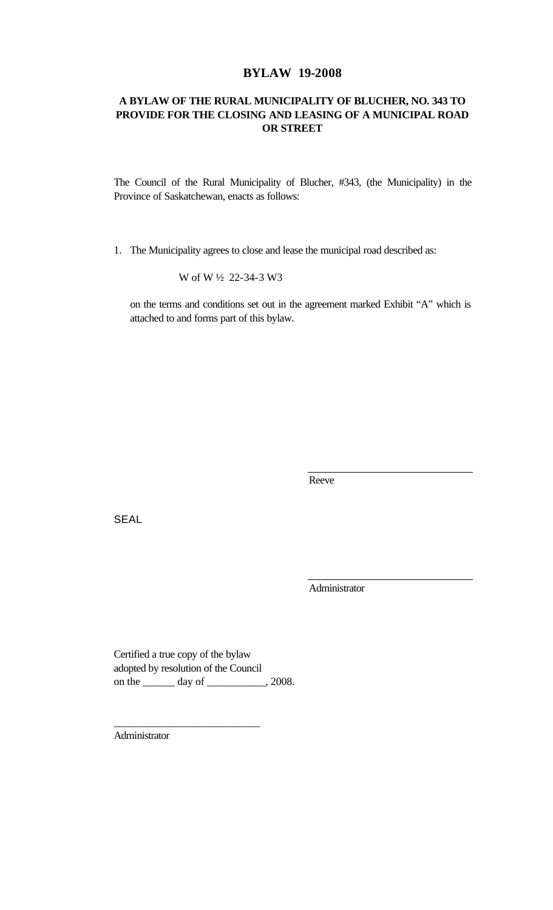## **BYLAW 19-2008**

## **A BYLAW OF THE RURAL MUNICIPALITY OF BLUCHER, NO. 343 TO PROVIDE FOR THE CLOSING AND LEASING OF A MUNICIPAL ROAD OR STREET**

The Council of the Rural Municipality of Blucher, #343, (the Municipality) in the Province of Saskatchewan, enacts as follows:

1. The Municipality agrees to close and lease the municipal road described as:

W of W ½ 22-34-3 W3

on the terms and conditions set out in the agreement marked Exhibit "A" which is attached to and forms part of this bylaw.

Reeve

**SEAL** 

Administrator

Certified a true copy of the bylaw adopted by resolution of the Council on the \_\_\_\_\_\_\_ day of \_\_\_\_\_\_\_\_\_, 2008.

\_\_\_\_\_\_\_\_\_\_\_\_\_\_\_\_\_\_\_\_\_\_\_\_\_\_\_

Administrator